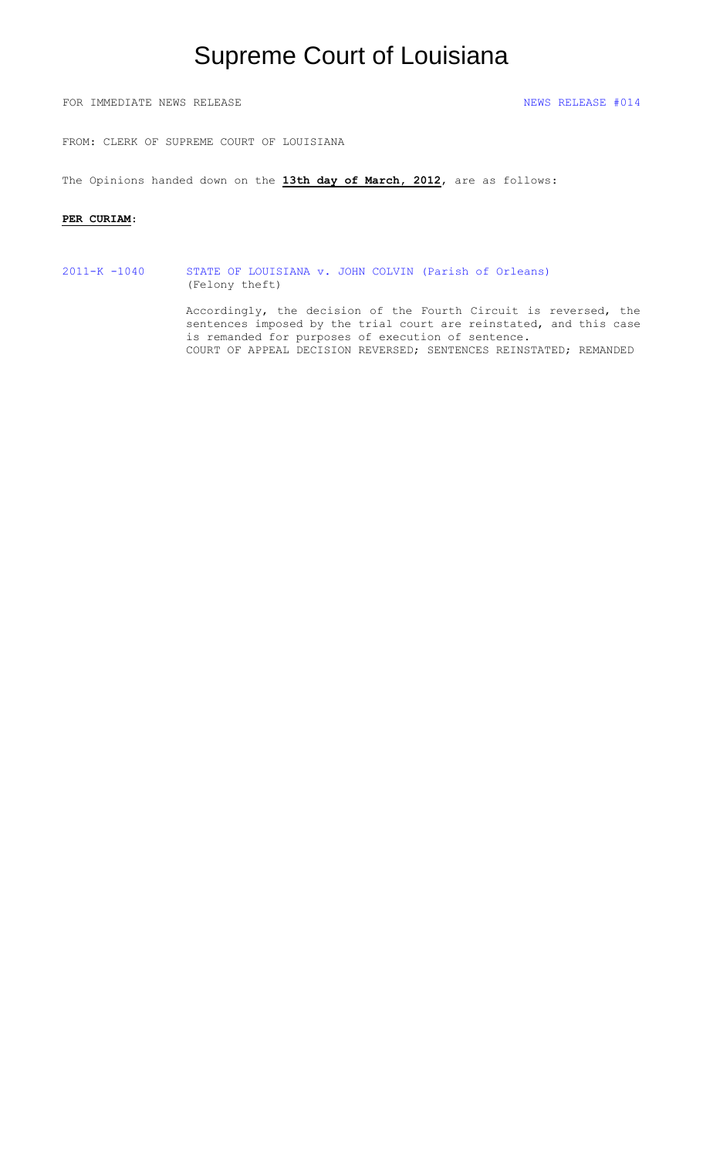# Supreme Court of Louisiana

FOR IMMEDIATE NEWS RELEASE NEWS RELEASE  $\#014$ 

FROM: CLERK OF SUPREME COURT OF LOUISIANA

The Opinions handed down on the **13th day of March, 2012**, are as follows:

#### **PER CURIAM**:

2011-K -1040 [STATE OF LOUISIANA v. JOHN COLVIN \(Parish of Orleans\)](#page-1-0) (Felony theft)

> Accordingly, the decision of the Fourth Circuit is reversed, the sentences imposed by the trial court are reinstated, and this case is remanded for purposes of execution of sentence. COURT OF APPEAL DECISION REVERSED; SENTENCES REINSTATED; REMANDED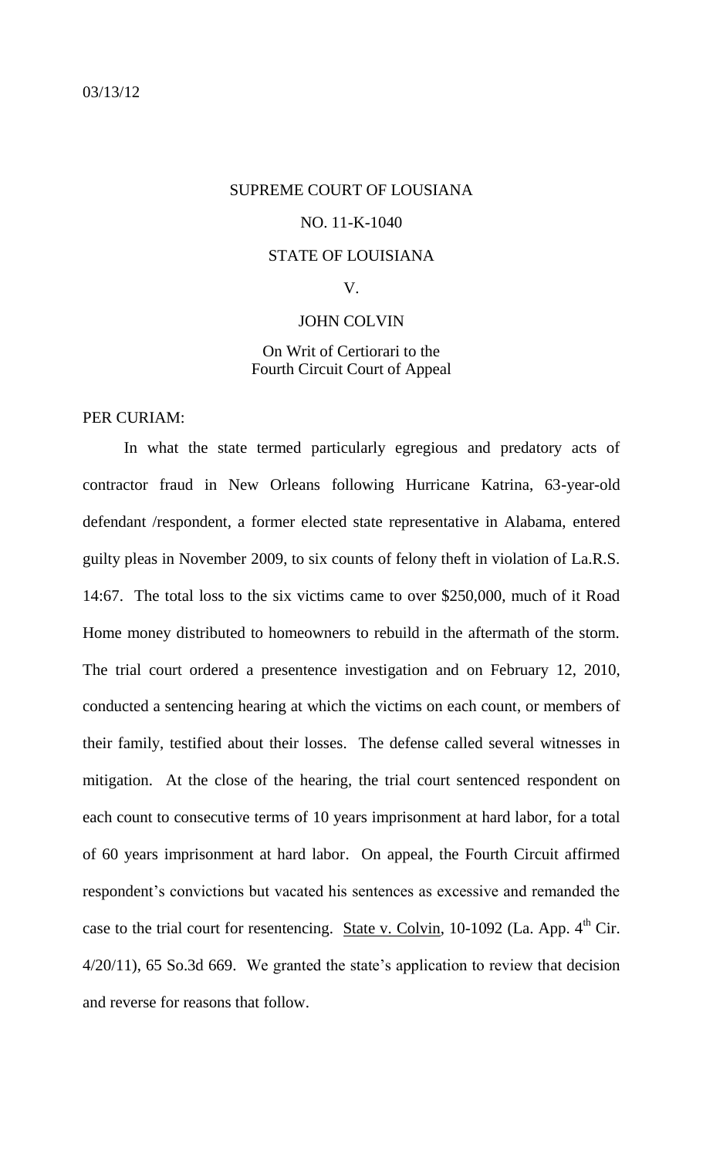### <span id="page-1-0"></span>03/13/12

### SUPREME COURT OF LOUSIANA

### NO. 11-K-1040

#### STATE OF LOUISIANA

### V.

#### JOHN COLVIN

## On Writ of Certiorari to the Fourth Circuit Court of Appeal

PER CURIAM:

In what the state termed particularly egregious and predatory acts of contractor fraud in New Orleans following Hurricane Katrina, 63-year-old defendant /respondent, a former elected state representative in Alabama, entered guilty pleas in November 2009, to six counts of felony theft in violation of La.R.S. 14:67. The total loss to the six victims came to over \$250,000, much of it Road Home money distributed to homeowners to rebuild in the aftermath of the storm. The trial court ordered a presentence investigation and on February 12, 2010, conducted a sentencing hearing at which the victims on each count, or members of their family, testified about their losses. The defense called several witnesses in mitigation. At the close of the hearing, the trial court sentenced respondent on each count to consecutive terms of 10 years imprisonment at hard labor, for a total of 60 years imprisonment at hard labor. On appeal, the Fourth Circuit affirmed respondent's convictions but vacated his sentences as excessive and remanded the case to the trial court for resentencing. State v. Colvin, 10-1092 (La. App.  $4<sup>th</sup>$  Cir. 4/20/11), 65 So.3d 669. We granted the state's application to review that decision and reverse for reasons that follow.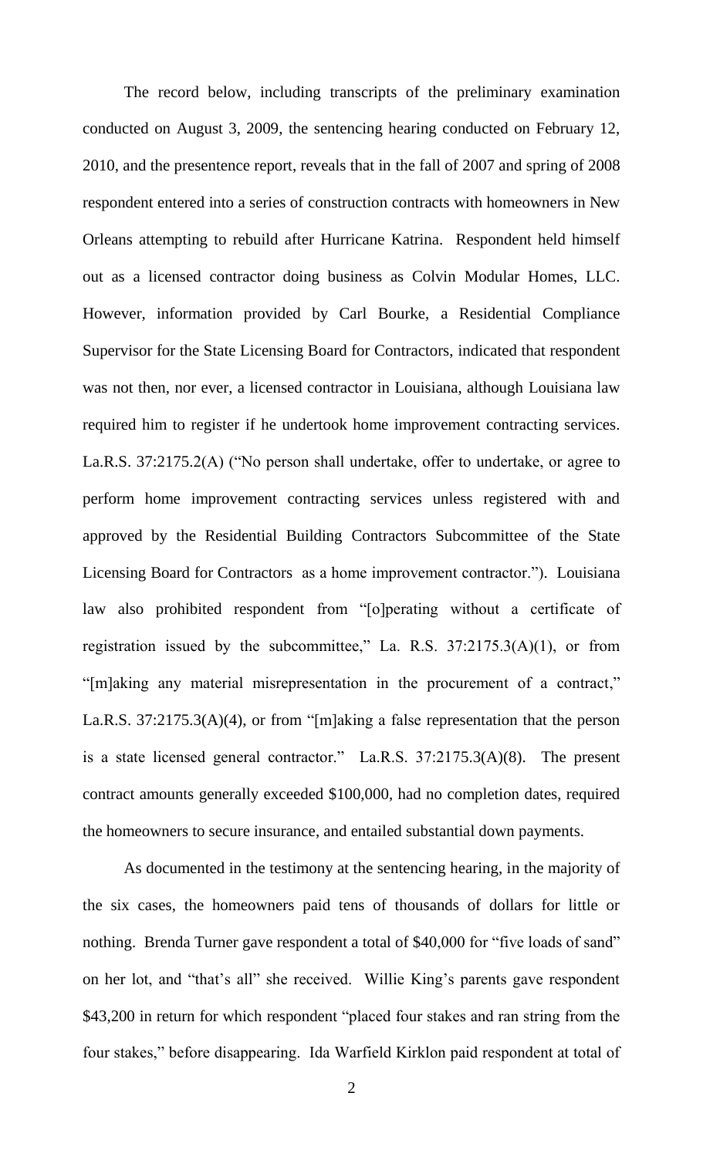The record below, including transcripts of the preliminary examination conducted on August 3, 2009, the sentencing hearing conducted on February 12, 2010, and the presentence report, reveals that in the fall of 2007 and spring of 2008 respondent entered into a series of construction contracts with homeowners in New Orleans attempting to rebuild after Hurricane Katrina. Respondent held himself out as a licensed contractor doing business as Colvin Modular Homes, LLC. However, information provided by Carl Bourke, a Residential Compliance Supervisor for the State Licensing Board for Contractors, indicated that respondent was not then, nor ever, a licensed contractor in Louisiana, although Louisiana law required him to register if he undertook home improvement contracting services. La.R.S. 37:2175.2(A) ("No person shall undertake, offer to undertake, or agree to perform home improvement contracting services unless registered with and approved by the Residential Building Contractors Subcommittee of the State Licensing Board for Contractors as a home improvement contractor."). Louisiana law also prohibited respondent from "[o]perating without a certificate of registration issued by the subcommittee," La. R.S.  $37:2175.3(A)(1)$ , or from "[m]aking any material misrepresentation in the procurement of a contract," La.R.S. 37:2175.3(A)(4), or from "[m]aking a false representation that the person is a state licensed general contractor." La.R.S. 37:2175.3(A)(8). The present contract amounts generally exceeded \$100,000, had no completion dates, required the homeowners to secure insurance, and entailed substantial down payments.

As documented in the testimony at the sentencing hearing, in the majority of the six cases, the homeowners paid tens of thousands of dollars for little or nothing. Brenda Turner gave respondent a total of \$40,000 for "five loads of sand" on her lot, and "that's all" she received. Willie King's parents gave respondent \$43,200 in return for which respondent "placed four stakes and ran string from the four stakes," before disappearing. Ida Warfield Kirklon paid respondent at total of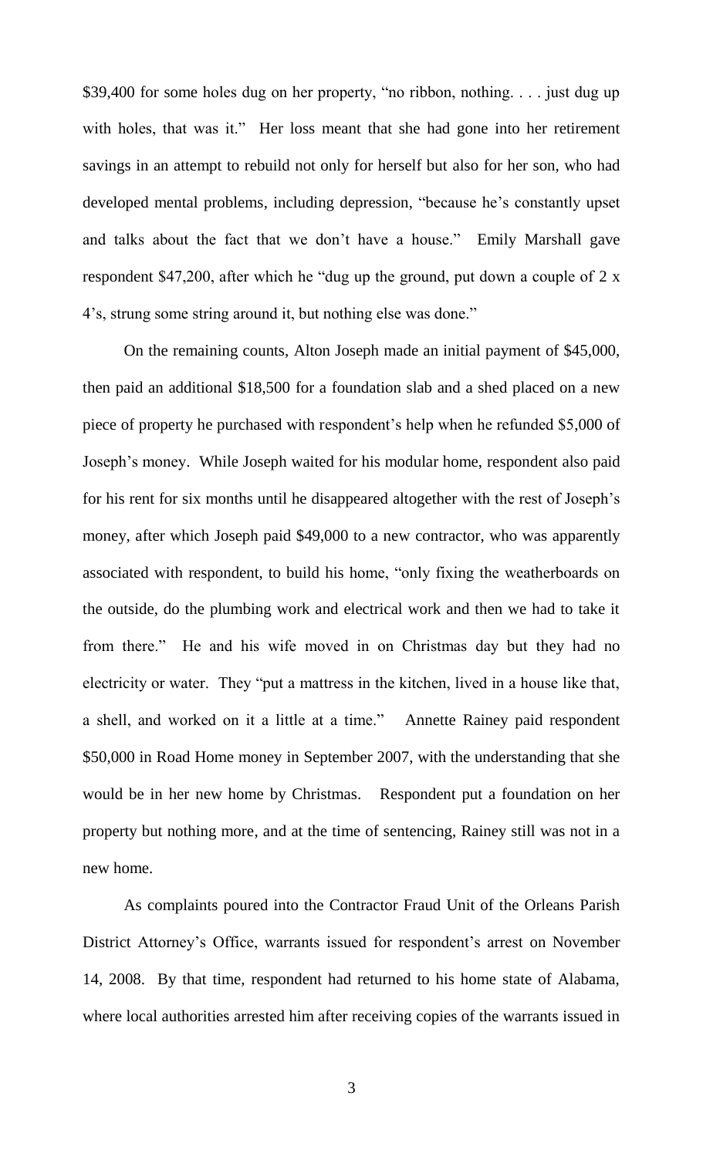\$39,400 for some holes dug on her property, "no ribbon, nothing. . . . just dug up with holes, that was it." Her loss meant that she had gone into her retirement savings in an attempt to rebuild not only for herself but also for her son, who had developed mental problems, including depression, "because he's constantly upset and talks about the fact that we don't have a house." Emily Marshall gave respondent \$47,200, after which he "dug up the ground, put down a couple of 2 x 4's, strung some string around it, but nothing else was done."

On the remaining counts, Alton Joseph made an initial payment of \$45,000, then paid an additional \$18,500 for a foundation slab and a shed placed on a new piece of property he purchased with respondent's help when he refunded \$5,000 of Joseph's money. While Joseph waited for his modular home, respondent also paid for his rent for six months until he disappeared altogether with the rest of Joseph's money, after which Joseph paid \$49,000 to a new contractor, who was apparently associated with respondent, to build his home, "only fixing the weatherboards on the outside, do the plumbing work and electrical work and then we had to take it from there." He and his wife moved in on Christmas day but they had no electricity or water. They "put a mattress in the kitchen, lived in a house like that, a shell, and worked on it a little at a time." Annette Rainey paid respondent \$50,000 in Road Home money in September 2007, with the understanding that she would be in her new home by Christmas. Respondent put a foundation on her property but nothing more, and at the time of sentencing, Rainey still was not in a new home.

As complaints poured into the Contractor Fraud Unit of the Orleans Parish District Attorney's Office, warrants issued for respondent's arrest on November 14, 2008. By that time, respondent had returned to his home state of Alabama, where local authorities arrested him after receiving copies of the warrants issued in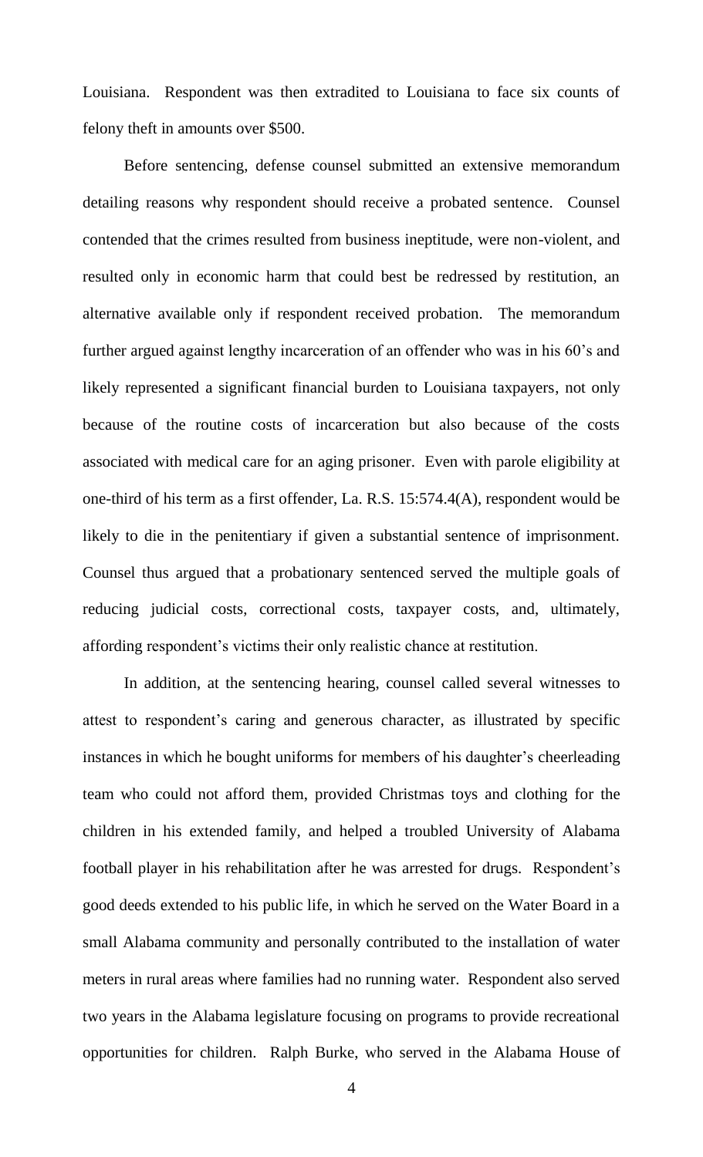Louisiana. Respondent was then extradited to Louisiana to face six counts of felony theft in amounts over \$500.

Before sentencing, defense counsel submitted an extensive memorandum detailing reasons why respondent should receive a probated sentence. Counsel contended that the crimes resulted from business ineptitude, were non-violent, and resulted only in economic harm that could best be redressed by restitution, an alternative available only if respondent received probation. The memorandum further argued against lengthy incarceration of an offender who was in his 60's and likely represented a significant financial burden to Louisiana taxpayers, not only because of the routine costs of incarceration but also because of the costs associated with medical care for an aging prisoner. Even with parole eligibility at one-third of his term as a first offender, La. R.S. 15:574.4(A), respondent would be likely to die in the penitentiary if given a substantial sentence of imprisonment. Counsel thus argued that a probationary sentenced served the multiple goals of reducing judicial costs, correctional costs, taxpayer costs, and, ultimately, affording respondent's victims their only realistic chance at restitution.

In addition, at the sentencing hearing, counsel called several witnesses to attest to respondent's caring and generous character, as illustrated by specific instances in which he bought uniforms for members of his daughter's cheerleading team who could not afford them, provided Christmas toys and clothing for the children in his extended family, and helped a troubled University of Alabama football player in his rehabilitation after he was arrested for drugs. Respondent's good deeds extended to his public life, in which he served on the Water Board in a small Alabama community and personally contributed to the installation of water meters in rural areas where families had no running water. Respondent also served two years in the Alabama legislature focusing on programs to provide recreational opportunities for children. Ralph Burke, who served in the Alabama House of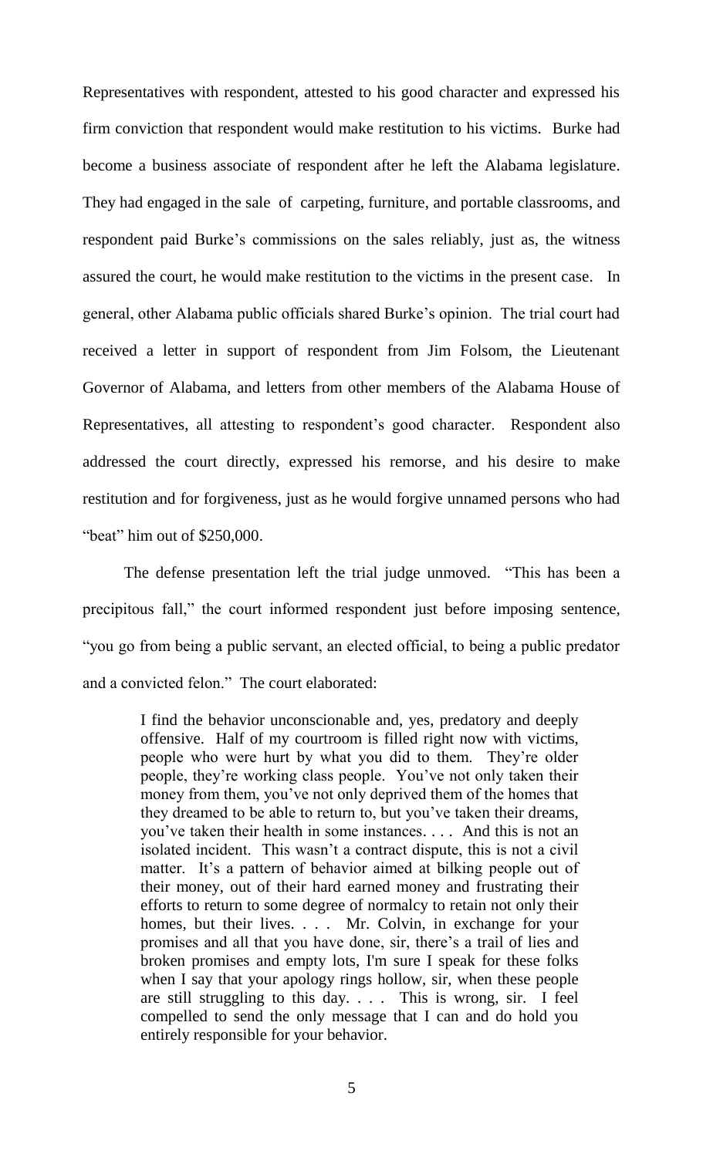Representatives with respondent, attested to his good character and expressed his firm conviction that respondent would make restitution to his victims. Burke had become a business associate of respondent after he left the Alabama legislature. They had engaged in the sale of carpeting, furniture, and portable classrooms, and respondent paid Burke's commissions on the sales reliably, just as, the witness assured the court, he would make restitution to the victims in the present case. In general, other Alabama public officials shared Burke's opinion. The trial court had received a letter in support of respondent from Jim Folsom, the Lieutenant Governor of Alabama, and letters from other members of the Alabama House of Representatives, all attesting to respondent's good character. Respondent also addressed the court directly, expressed his remorse, and his desire to make restitution and for forgiveness, just as he would forgive unnamed persons who had "beat" him out of \$250,000.

The defense presentation left the trial judge unmoved. "This has been a precipitous fall," the court informed respondent just before imposing sentence, "you go from being a public servant, an elected official, to being a public predator and a convicted felon." The court elaborated:

> I find the behavior unconscionable and, yes, predatory and deeply offensive. Half of my courtroom is filled right now with victims, people who were hurt by what you did to them. They're older people, they're working class people. You've not only taken their money from them, you've not only deprived them of the homes that they dreamed to be able to return to, but you've taken their dreams, you've taken their health in some instances. . . . And this is not an isolated incident. This wasn't a contract dispute, this is not a civil matter. It's a pattern of behavior aimed at bilking people out of their money, out of their hard earned money and frustrating their efforts to return to some degree of normalcy to retain not only their homes, but their lives. . . . Mr. Colvin, in exchange for your promises and all that you have done, sir, there's a trail of lies and broken promises and empty lots, I'm sure I speak for these folks when I say that your apology rings hollow, sir, when these people are still struggling to this day. . . . This is wrong, sir. I feel compelled to send the only message that I can and do hold you entirely responsible for your behavior.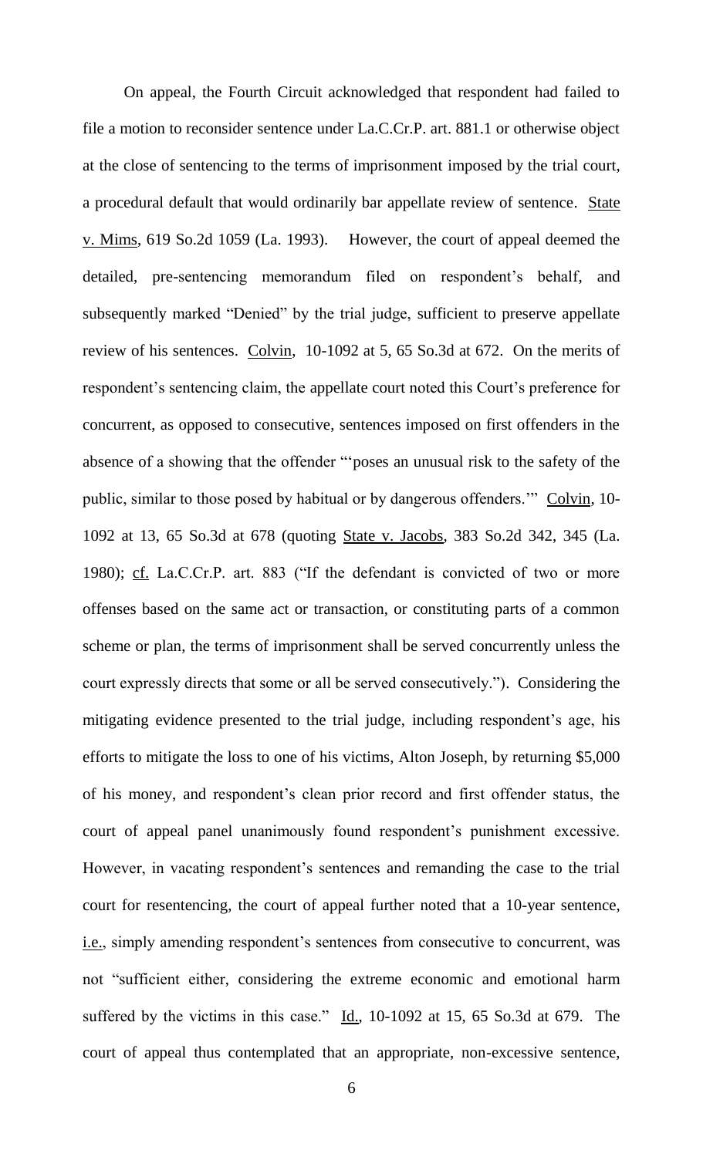On appeal, the Fourth Circuit acknowledged that respondent had failed to file a motion to reconsider sentence under La.C.Cr.P. art. 881.1 or otherwise object at the close of sentencing to the terms of imprisonment imposed by the trial court, a procedural default that would ordinarily bar appellate review of sentence. State v. Mims, 619 So.2d 1059 (La. 1993). However, the court of appeal deemed the detailed, pre-sentencing memorandum filed on respondent's behalf, and subsequently marked "Denied" by the trial judge, sufficient to preserve appellate review of his sentences. Colvin, 10-1092 at 5, 65 So.3d at 672. On the merits of respondent's sentencing claim, the appellate court noted this Court's preference for concurrent, as opposed to consecutive, sentences imposed on first offenders in the absence of a showing that the offender "'poses an unusual risk to the safety of the public, similar to those posed by habitual or by dangerous offenders." Colvin, 10-1092 at 13, 65 So.3d at 678 (quoting State v. Jacobs, 383 So.2d 342, 345 (La. 1980); cf. La.C.Cr.P. art. 883 ("If the defendant is convicted of two or more offenses based on the same act or transaction, or constituting parts of a common scheme or plan, the terms of imprisonment shall be served concurrently unless the court expressly directs that some or all be served consecutively."). Considering the mitigating evidence presented to the trial judge, including respondent's age, his efforts to mitigate the loss to one of his victims, Alton Joseph, by returning \$5,000 of his money, and respondent's clean prior record and first offender status, the court of appeal panel unanimously found respondent's punishment excessive. However, in vacating respondent's sentences and remanding the case to the trial court for resentencing, the court of appeal further noted that a 10-year sentence, i.e., simply amending respondent's sentences from consecutive to concurrent, was not "sufficient either, considering the extreme economic and emotional harm suffered by the victims in this case."  $\underline{Id}$ , 10-1092 at 15, 65 So.3d at 679. The court of appeal thus contemplated that an appropriate, non-excessive sentence,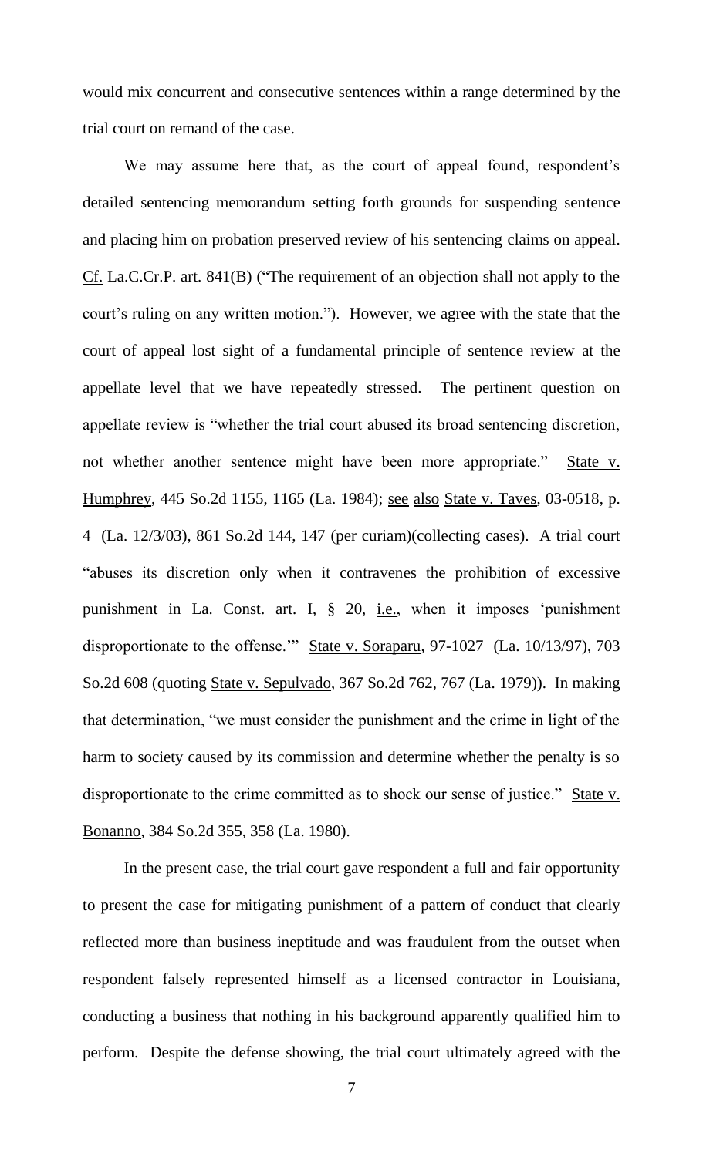would mix concurrent and consecutive sentences within a range determined by the trial court on remand of the case.

We may assume here that, as the court of appeal found, respondent's detailed sentencing memorandum setting forth grounds for suspending sentence and placing him on probation preserved review of his sentencing claims on appeal. Cf. La.C.Cr.P. art. 841(B) ("The requirement of an objection shall not apply to the court's ruling on any written motion."). However, we agree with the state that the court of appeal lost sight of a fundamental principle of sentence review at the appellate level that we have repeatedly stressed. The pertinent question on appellate review is "whether the trial court abused its broad sentencing discretion, not whether another sentence might have been more appropriate." State v. Humphrey, 445 So.2d 1155, 1165 (La. 1984); see also State v. Taves, 03-0518, p. 4 (La. 12/3/03), 861 So.2d 144, 147 (per curiam)(collecting cases). A trial court "abuses its discretion only when it contravenes the prohibition of excessive punishment in La. Const. art. I, § 20, i.e., when it imposes 'punishment disproportionate to the offense." State v. Soraparu, 97-1027 (La. 10/13/97), 703 So.2d 608 (quoting State v. Sepulvado, 367 So.2d 762, 767 (La. 1979)). In making that determination, "we must consider the punishment and the crime in light of the harm to society caused by its commission and determine whether the penalty is so disproportionate to the crime committed as to shock our sense of justice." State v. Bonanno, 384 So.2d 355, 358 (La. 1980).

In the present case, the trial court gave respondent a full and fair opportunity to present the case for mitigating punishment of a pattern of conduct that clearly reflected more than business ineptitude and was fraudulent from the outset when respondent falsely represented himself as a licensed contractor in Louisiana, conducting a business that nothing in his background apparently qualified him to perform. Despite the defense showing, the trial court ultimately agreed with the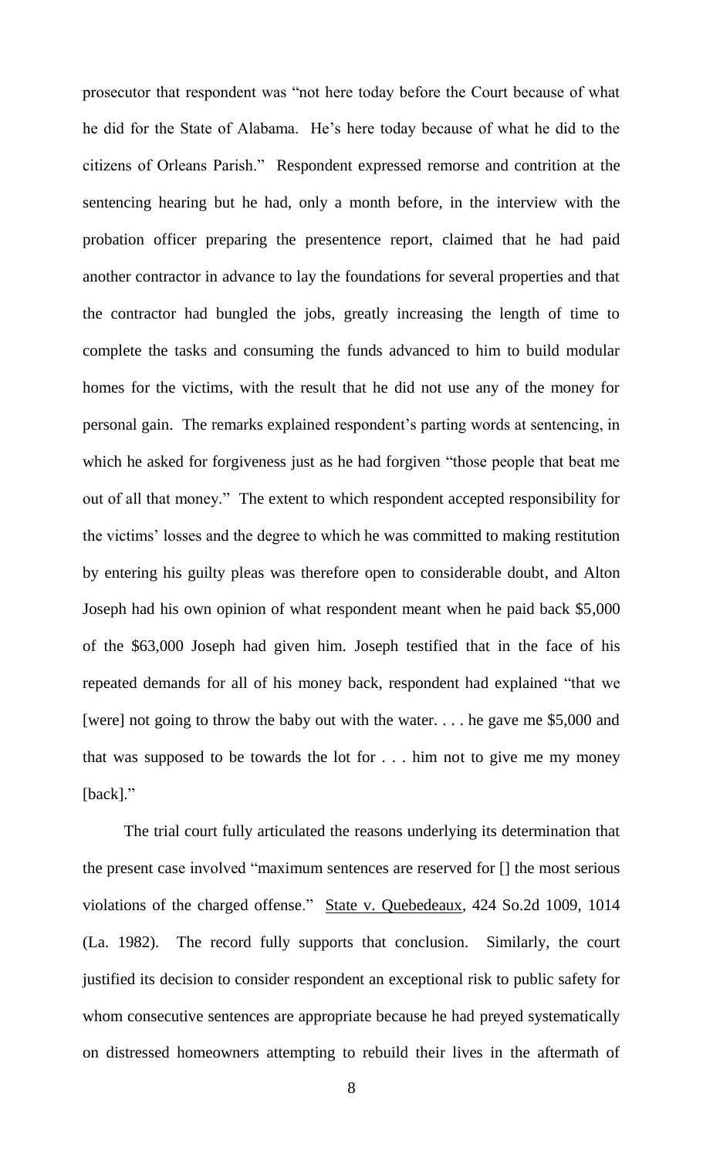prosecutor that respondent was "not here today before the Court because of what he did for the State of Alabama. He's here today because of what he did to the citizens of Orleans Parish." Respondent expressed remorse and contrition at the sentencing hearing but he had, only a month before, in the interview with the probation officer preparing the presentence report, claimed that he had paid another contractor in advance to lay the foundations for several properties and that the contractor had bungled the jobs, greatly increasing the length of time to complete the tasks and consuming the funds advanced to him to build modular homes for the victims, with the result that he did not use any of the money for personal gain. The remarks explained respondent's parting words at sentencing, in which he asked for forgiveness just as he had forgiven "those people that beat me out of all that money." The extent to which respondent accepted responsibility for the victims' losses and the degree to which he was committed to making restitution by entering his guilty pleas was therefore open to considerable doubt, and Alton Joseph had his own opinion of what respondent meant when he paid back \$5,000 of the \$63,000 Joseph had given him. Joseph testified that in the face of his repeated demands for all of his money back, respondent had explained "that we [were] not going to throw the baby out with the water. . . . he gave me \$5,000 and that was supposed to be towards the lot for . . . him not to give me my money [back]."

 The trial court fully articulated the reasons underlying its determination that the present case involved "maximum sentences are reserved for [] the most serious violations of the charged offense." State v. Quebedeaux, 424 So.2d 1009, 1014 (La. 1982). The record fully supports that conclusion. Similarly, the court justified its decision to consider respondent an exceptional risk to public safety for whom consecutive sentences are appropriate because he had preyed systematically on distressed homeowners attempting to rebuild their lives in the aftermath of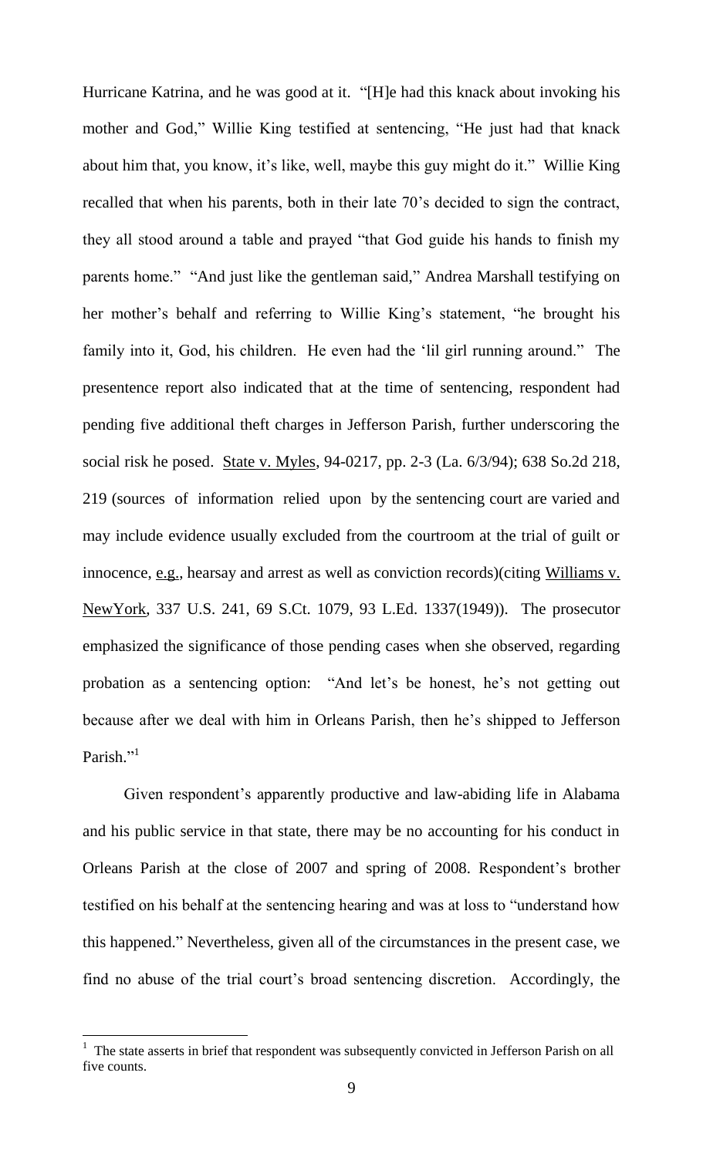Hurricane Katrina, and he was good at it. "[H]e had this knack about invoking his mother and God," Willie King testified at sentencing, "He just had that knack about him that, you know, it's like, well, maybe this guy might do it." Willie King recalled that when his parents, both in their late 70's decided to sign the contract, they all stood around a table and prayed "that God guide his hands to finish my parents home." "And just like the gentleman said," Andrea Marshall testifying on her mother's behalf and referring to Willie King's statement, "he brought his family into it, God, his children. He even had the 'lil girl running around." The presentence report also indicated that at the time of sentencing, respondent had pending five additional theft charges in Jefferson Parish, further underscoring the social risk he posed. State v. Myles, 94-0217, pp. 2-3 (La. 6/3/94); 638 So.2d 218, 219 (sources of information relied upon by the sentencing court are varied and may include evidence usually excluded from the courtroom at the trial of guilt or innocence, e.g., hearsay and arrest as well as conviction records)(citing Williams v. NewYork, 337 U.S. 241, 69 S.Ct. 1079, 93 L.Ed. 1337(1949)). The prosecutor emphasized the significance of those pending cases when she observed, regarding probation as a sentencing option: "And let's be honest, he's not getting out because after we deal with him in Orleans Parish, then he's shipped to Jefferson Parish."<sup>1</sup>

Given respondent's apparently productive and law-abiding life in Alabama and his public service in that state, there may be no accounting for his conduct in Orleans Parish at the close of 2007 and spring of 2008. Respondent's brother testified on his behalf at the sentencing hearing and was at loss to "understand how this happened." Nevertheless, given all of the circumstances in the present case, we find no abuse of the trial court's broad sentencing discretion. Accordingly, the

l

 $1$  The state asserts in brief that respondent was subsequently convicted in Jefferson Parish on all five counts.